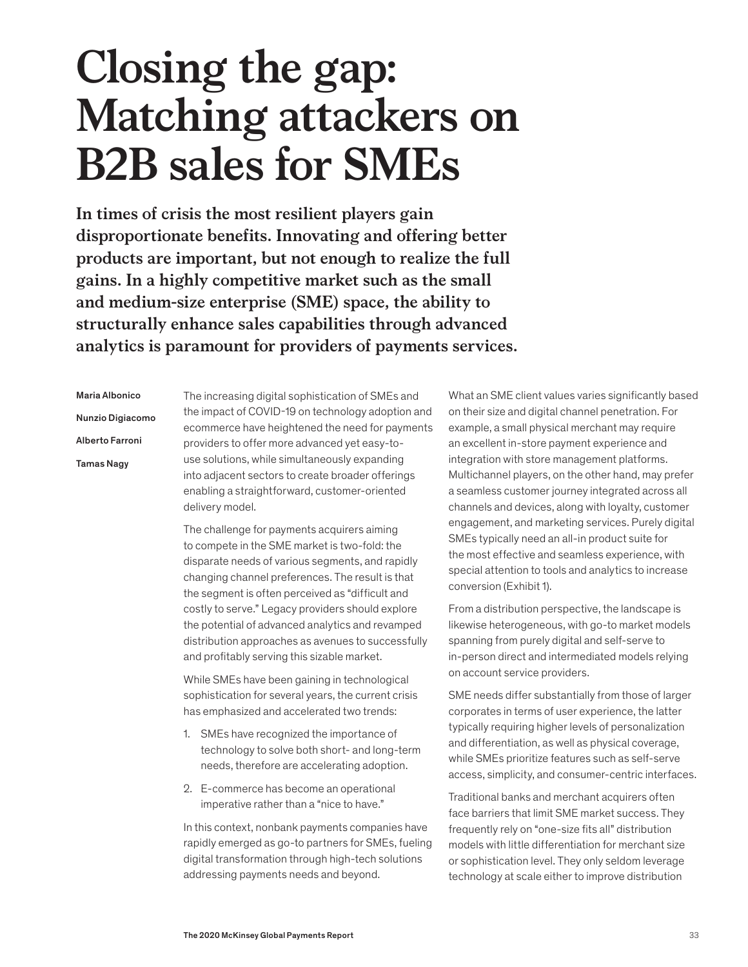# **Closing the gap: Matching attackers on B2B sales for SMEs**

**In times of crisis the most resilient players gain disproportionate benefits. Innovating and offering better products are important, but not enough to realize the full gains. In a highly competitive market such as the small and medium-size enterprise (SME) space, the ability to structurally enhance sales capabilities through advanced analytics is paramount for providers of payments services.**

Maria Albonico Nunzio Digiacomo Alberto Farroni Tamas Nagy

The increasing digital sophistication of SMEs and the impact of COVID-19 on technology adoption and ecommerce have heightened the need for payments providers to offer more advanced yet easy-touse solutions, while simultaneously expanding into adjacent sectors to create broader offerings enabling a straightforward, customer-oriented delivery model.

The challenge for payments acquirers aiming to compete in the SME market is two-fold: the disparate needs of various segments, and rapidly changing channel preferences. The result is that the segment is often perceived as "difficult and costly to serve." Legacy providers should explore the potential of advanced analytics and revamped distribution approaches as avenues to successfully and profitably serving this sizable market.

While SMEs have been gaining in technological sophistication for several years, the current crisis has emphasized and accelerated two trends:

- 1. SMEs have recognized the importance of technology to solve both short- and long-term needs, therefore are accelerating adoption.
- 2. E-commerce has become an operational imperative rather than a "nice to have."

In this context, nonbank payments companies have rapidly emerged as go-to partners for SMEs, fueling digital transformation through high-tech solutions addressing payments needs and beyond.

What an SME client values varies significantly based on their size and digital channel penetration. For example, a small physical merchant may require an excellent in-store payment experience and integration with store management platforms. Multichannel players, on the other hand, may prefer a seamless customer journey integrated across all channels and devices, along with loyalty, customer engagement, and marketing services. Purely digital SMEs typically need an all-in product suite for the most effective and seamless experience, with special attention to tools and analytics to increase conversion (Exhibit 1).

From a distribution perspective, the landscape is likewise heterogeneous, with go-to market models spanning from purely digital and self-serve to in-person direct and intermediated models relying on account service providers.

SME needs differ substantially from those of larger corporates in terms of user experience, the latter typically requiring higher levels of personalization and differentiation, as well as physical coverage, while SMEs prioritize features such as self-serve access, simplicity, and consumer-centric interfaces.

Traditional banks and merchant acquirers often face barriers that limit SME market success. They frequently rely on "one-size fits all" distribution models with little differentiation for merchant size or sophistication level. They only seldom leverage technology at scale either to improve distribution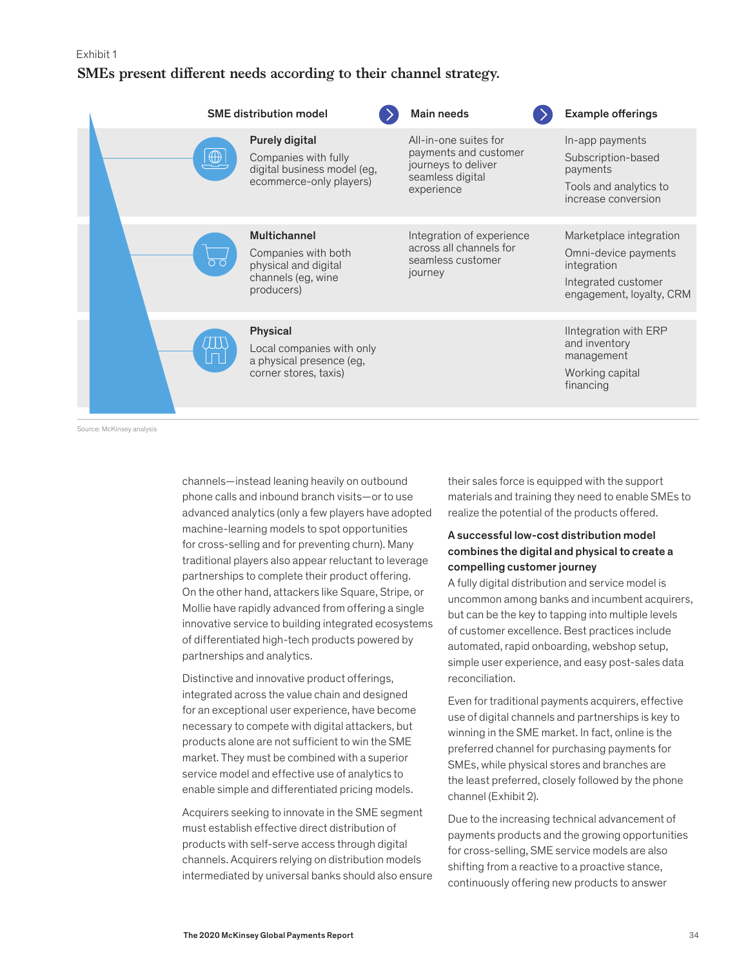#### Exhibit 1

# **SMEs present different needs according to their channel strategy.**

|  | <b>SME distribution model</b> |                                                                                                        | <b>Main needs</b>                                                                                       | <b>Example offerings</b>                                                                                          |
|--|-------------------------------|--------------------------------------------------------------------------------------------------------|---------------------------------------------------------------------------------------------------------|-------------------------------------------------------------------------------------------------------------------|
|  | $\bigoplus$                   | Purely digital<br>Companies with fully<br>digital business model (eg,<br>ecommerce-only players)       | All-in-one suites for<br>payments and customer<br>journeys to deliver<br>seamless digital<br>experience | In-app payments<br>Subscription-based<br>payments<br>Tools and analytics to<br>increase conversion                |
|  |                               | <b>Multichannel</b><br>Companies with both<br>physical and digital<br>channels (eg, wine<br>producers) | Integration of experience<br>across all channels for<br>seamless customer<br>journey                    | Marketplace integration<br>Omni-device payments<br>integration<br>Integrated customer<br>engagement, loyalty, CRM |
|  |                               | Physical<br>Local companies with only<br>a physical presence (eg,<br>corner stores, taxis)             |                                                                                                         | lintegration with ERP<br>and inventory<br>management<br>Working capital<br>financing                              |

Source: McKinsey analysis

channels—instead leaning heavily on outbound phone calls and inbound branch visits—or to use advanced analytics (only a few players have adopted machine-learning models to spot opportunities for cross-selling and for preventing churn). Many traditional players also appear reluctant to leverage partnerships to complete their product offering. On the other hand, attackers like Square, Stripe, or Mollie have rapidly advanced from offering a single innovative service to building integrated ecosystems of differentiated high-tech products powered by partnerships and analytics.

Distinctive and innovative product offerings, integrated across the value chain and designed for an exceptional user experience, have become necessary to compete with digital attackers, but products alone are not sufficient to win the SME market. They must be combined with a superior service model and effective use of analytics to enable simple and differentiated pricing models.

Acquirers seeking to innovate in the SME segment must establish effective direct distribution of products with self-serve access through digital channels. Acquirers relying on distribution models intermediated by universal banks should also ensure their sales force is equipped with the support materials and training they need to enable SMEs to realize the potential of the products offered.

## A successful low-cost distribution model combines the digital and physical to create a compelling customer journey

A fully digital distribution and service model is uncommon among banks and incumbent acquirers, but can be the key to tapping into multiple levels of customer excellence. Best practices include automated, rapid onboarding, webshop setup, simple user experience, and easy post-sales data reconciliation.

Even for traditional payments acquirers, effective use of digital channels and partnerships is key to winning in the SME market. In fact, online is the preferred channel for purchasing payments for SMEs, while physical stores and branches are the least preferred, closely followed by the phone channel (Exhibit 2).

Due to the increasing technical advancement of payments products and the growing opportunities for cross-selling, SME service models are also shifting from a reactive to a proactive stance, continuously offering new products to answer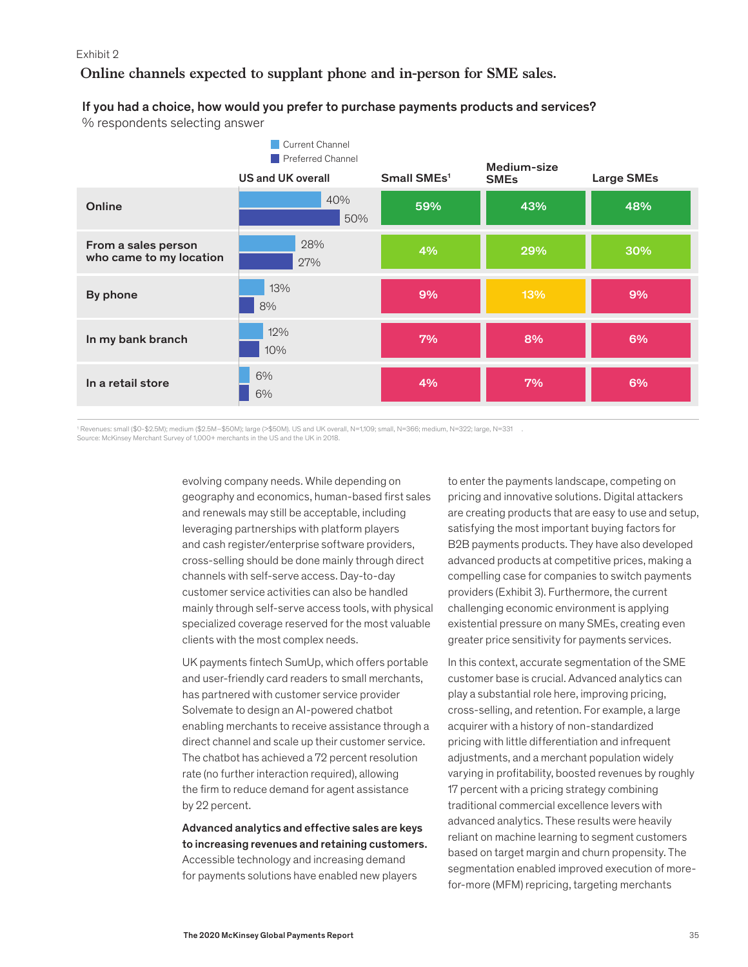#### Exhibit 2

**Online channels expected to supplant phone and in-person for SME sales.**

### If you had a choice, how would you prefer to purchase payments products and services?

% respondents selecting answer

|                                                | Current Channel<br>Preferred Channel<br>US and UK overall | Small SMEs <sup>1</sup> | Medium-size        | Large SMEs |
|------------------------------------------------|-----------------------------------------------------------|-------------------------|--------------------|------------|
| Online                                         | 40%<br>50%                                                | 59%                     | <b>SMEs</b><br>43% | 48%        |
| From a sales person<br>who came to my location | 28%<br>27%                                                | 4%                      | 29%                | 30%        |
| By phone                                       | 13%<br>8%                                                 | 9%                      | 13%                | 9%         |
| In my bank branch                              | 12%<br>10%                                                | 7%                      | 8%                 | 6%         |
| In a retail store                              | 6%<br>6%                                                  | 4%                      | 7%                 | 6%         |

1 Revenues: small (\$0-\$2.5M); medium (\$2.5M–\$50M); large (>\$50M). US and UK overall, N=1,109; small, N=366; medium, N=322; large, N=331 .

ource: McKinsey Merchant Survey of 1,000+ merchants in the US and the UK in 2018

evolving company needs. While depending on geography and economics, human-based first sales and renewals may still be acceptable, including leveraging partnerships with platform players and cash register/enterprise software providers, cross-selling should be done mainly through direct channels with self-serve access. Day-to-day customer service activities can also be handled mainly through self-serve access tools, with physical specialized coverage reserved for the most valuable clients with the most complex needs.

UK payments fintech SumUp, which offers portable and user-friendly card readers to small merchants, has partnered with customer service provider Solvemate to design an AI-powered chatbot enabling merchants to receive assistance through a direct channel and scale up their customer service. The chatbot has achieved a 72 percent resolution rate (no further interaction required), allowing the firm to reduce demand for agent assistance by 22 percent.

Advanced analytics and effective sales are keys to increasing revenues and retaining customers. Accessible technology and increasing demand for payments solutions have enabled new players

to enter the payments landscape, competing on pricing and innovative solutions. Digital attackers are creating products that are easy to use and setup, satisfying the most important buying factors for B2B payments products. They have also developed advanced products at competitive prices, making a compelling case for companies to switch payments providers (Exhibit 3). Furthermore, the current challenging economic environment is applying existential pressure on many SMEs, creating even greater price sensitivity for payments services.

In this context, accurate segmentation of the SME customer base is crucial. Advanced analytics can play a substantial role here, improving pricing, cross-selling, and retention. For example, a large acquirer with a history of non-standardized pricing with little differentiation and infrequent adjustments, and a merchant population widely varying in profitability, boosted revenues by roughly 17 percent with a pricing strategy combining traditional commercial excellence levers with advanced analytics. These results were heavily reliant on machine learning to segment customers based on target margin and churn propensity. The segmentation enabled improved execution of morefor-more (MFM) repricing, targeting merchants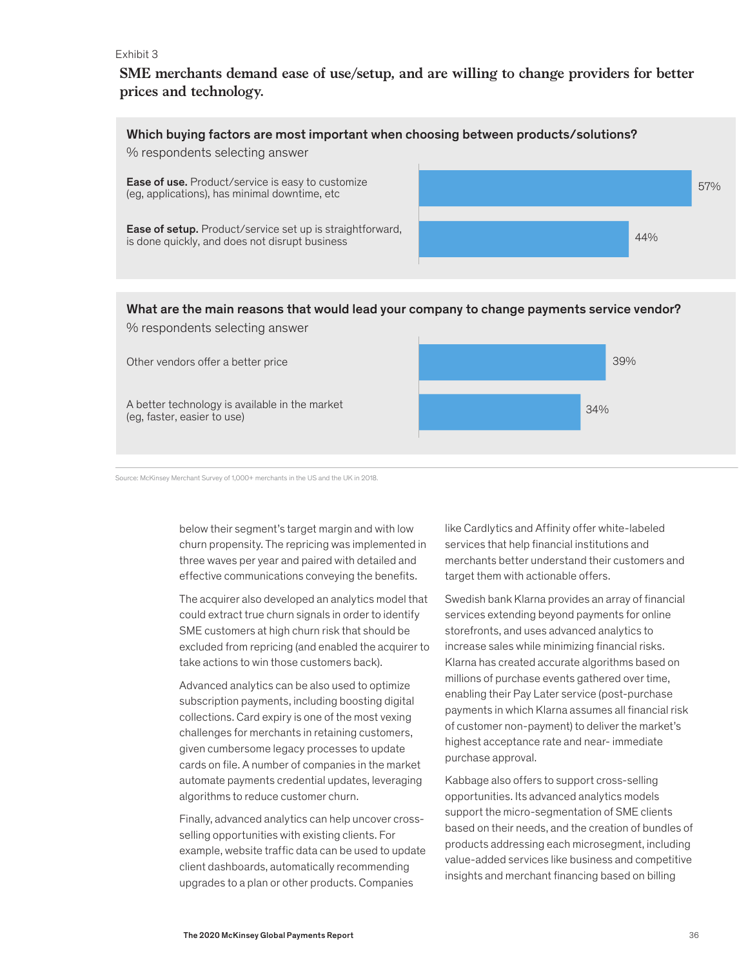#### Exhibit 3

**SME merchants demand ease of use/setup, and are willing to change providers for better prices and technology.**



## What are the main reasons that would lead your company to change payments service vendor? % respondents selecting answer

39% 34% Other vendors offer a better price A better technology is available in the market (eg, faster, easier to use)

Source: McKinsey Merchant Survey of 1,000+ merchants in the US and the UK in 2018.

below their segment's target margin and with low churn propensity. The repricing was implemented in three waves per year and paired with detailed and effective communications conveying the benefits.

The acquirer also developed an analytics model that could extract true churn signals in order to identify SME customers at high churn risk that should be excluded from repricing (and enabled the acquirer to take actions to win those customers back).

Advanced analytics can be also used to optimize subscription payments, including boosting digital collections. Card expiry is one of the most vexing challenges for merchants in retaining customers, given cumbersome legacy processes to update cards on file. A number of companies in the market automate payments credential updates, leveraging algorithms to reduce customer churn.

Finally, advanced analytics can help uncover crossselling opportunities with existing clients. For example, website traffic data can be used to update client dashboards, automatically recommending upgrades to a plan or other products. Companies

like Cardlytics and Affinity offer white-labeled services that help financial institutions and merchants better understand their customers and target them with actionable offers.

Swedish bank Klarna provides an array of financial services extending beyond payments for online storefronts, and uses advanced analytics to increase sales while minimizing financial risks. Klarna has created accurate algorithms based on millions of purchase events gathered over time, enabling their Pay Later service (post-purchase payments in which Klarna assumes all financial risk of customer non-payment) to deliver the market's highest acceptance rate and near- immediate purchase approval.

Kabbage also offers to support cross-selling opportunities. Its advanced analytics models support the micro-segmentation of SME clients based on their needs, and the creation of bundles of products addressing each microsegment, including value-added services like business and competitive insights and merchant financing based on billing